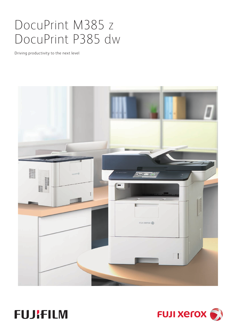# DocuPrint M385 z DocuPrint P385 dw

Driving productivity to the next level





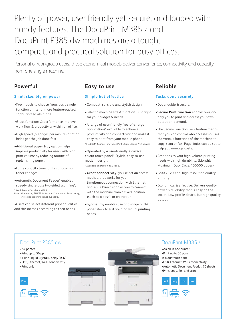## Plenty of power, user friendly yet secure, and loaded with handy features. The DocuPrint M385 z and DocuPrint P385 dw machines are a tough, compact, and practical solution for busy offices.

Personal or workgroup users, these economical models deliver convenience, connectivity and capacity from one single machine.

### **Powerful**

#### **Small size, big on power**

- •Two models to choose from: basic single function printer or more feature-packed sophisticated all-in-one.
- •Great functions & performance improve work flow & productivity within an office.
- •High speed (50 pages per minute) printing helps get the job done fast.
- •**Additional paper tray option** helps improve productivity for users with high print volume by reducing routine of replenishing paper.
- •Large capacity toner units cut down on toner changes.
- •Automatic Document Feeder\* enables speedy single-pass two-sided scanning\*.
- \* Available on DocuPrint M385 z.
- Note: When using FUJIFILM Business Innovation Print Utility, two-sided scanning is not available.
- •Users can select different paper qualities and thicknesses according to their needs.

#### **Easy to use**

#### **Simple but effective**

- •Compact, sensible and stylish design.
- •Select a machine size & functions just right for your budget & needs.
- •A range of user-friendly free-of-charge applications\* available to enhance productivity and connectivity and make it easy to print from your mobile phone.
- \* FUJIFILM Business Innovation Print Utility, Mopria Print Service.
- •Operated by a user-friendly, intuitive colour touch panel\*. Stylish, easy-to-use modern design.
- \* Available on DocuPrint M385 z.
- •**Great connectivity:** you select an access method that works for you. Simultaneous connection with Ethernet and Wi-Fi Direct enables you to connect with the machine from a fixed location (such as a desk), or on the run.
- •Bypass Tray enables use of a range of thick paper stock to suit your individual printing needs.

#### **Reliable**

#### **Tasks done securely**

- •Dependable & secure.
- •**Secure Print function** enables you, and only you to print and access your own output on-demand.
- •The Secure Function Lock feature means that you can control who accesses & uses the various functions of the machine to copy, scan or fax. Page limits can be set to help you manage costs.
- •Responds to your high-volume printing needs with high durability. (Monthly Maximum Duty Cycle: 100000 pages)
- •1200 x 1200 dpi high resolution quality printing.
- •Economical & effective: Delivers quality, power & reliability that is easy on the wallet. Low-profile device, but high quality output.

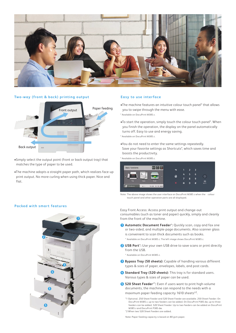

#### **Two-way (front & back) printing output Easy to use interface**



- •Simply select the output point (front or back output tray) that matches the type of paper to be used.
- •The machine adopts a straight paper path, which realizes face-up print output. No more curling when using thick paper. Nice and flat.

- •The machine features an intuitive colour touch panel\* that allows you to swipe through the menu with ease.
- \* Available on DocuPrint M385 z.
- •To start the operation, simply touch the colour touch panel\*. When you finish the operation, the display on the panel automatically turns off. Easy to use and energy saving.
- \* Available on DocuPrint M385 z.
- •You do not need to enter the same settings repeatedly. Save your favorite settings as Shortcuts\*, which saves time and boosts the productivity.
- \* Available on DocuPrint M385 z.



Note: The above image shows the user interface on DocuPrint M385 z when the colour touch panel and other operation parts are all displayed.

Easy Front Access: Access print output and change-out consumables (such as toner and paper) quickly, simply and cleanly from the front of the machine.

- **1 Automatic Document Feeder**\***:** Quickly scan, copy and fax one or two-sided, and multiple-page documents. Also scanner glass is convenient to scan thick documents such as books. \* Available on DocuPrint M385 z. The left image shows DocuPrint M385 z.
- **2 USB Port**\***:** Use your own USB drive to save scans or print directly from the USB.

\* Available on DocuPrint M385 z.

- **3 Bypass Tray (50 sheets):** Capable of handling various different types & sizes of paper, envelopes, labels, and post cards.
- **4 Standard Tray (520 sheets):** This tray is for standard users. Various types & sizes of paper can be used.
- **5 520 Sheet Feeder**\*1**:** Even if users want to print high-volume documents, the machine can respond to the needs with a maximum paper feeding capacity 1610 sheets\*2.
	- \*1 Optional. 250 Sheet Feeder and 520 Sheet Feeder are available. 250 Sheet Feeder: On DocuPrint M385 z, up to two feeders can be added. On DocuPrint P385 dw, up to three feeders can be added. 520 Sheet Feeder: Up to two feeders can be added on DocuPrint M385 z and DocuPrint P385 dw.

\*2 When two 520 Sheet Feeders are added.

Note: Paper feeding capacity is based on 80 gsm paper.

#### **Packed with smart features**